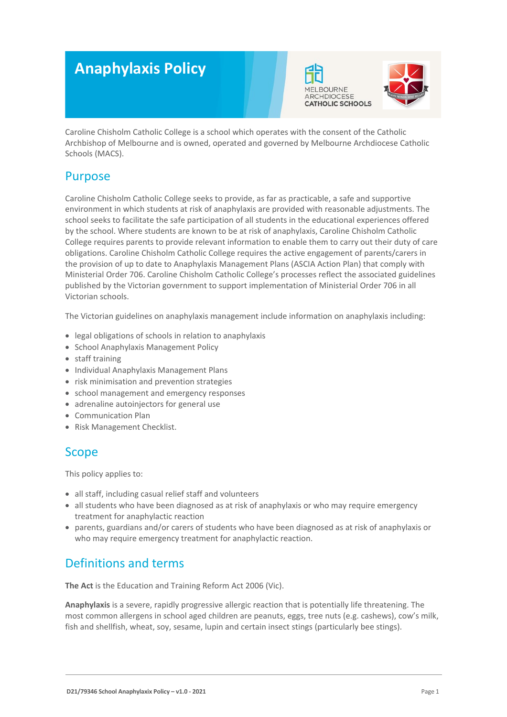# **Anaphylaxis Policy**





Caroline Chisholm Catholic College is a school which operates with the consent of the Catholic Archbishop of Melbourne and is owned, operated and governed by Melbourne Archdiocese Catholic Schools (MACS).

# Purpose

Caroline Chisholm Catholic College seeks to provide, as far as practicable, a safe and supportive environment in which students at risk of anaphylaxis are provided with reasonable adjustments. The school seeks to facilitate the safe participation of all students in the educational experiences offered by the school. Where students are known to be at risk of anaphylaxis, Caroline Chisholm Catholic College requires parents to provide relevant information to enable them to carry out their duty of care obligations. Caroline Chisholm Catholic College requires the active engagement of parents/carers in the provision of up to date to Anaphylaxis Management Plans (ASCIA Action Plan) that comply with Ministerial Order 706. Caroline Chisholm Catholic College's processes reflect the associated guidelines published by the Victorian government to support implementation of Ministerial Order 706 in all Victorian schools.

The Victorian guidelines on anaphylaxis management include information on anaphylaxis including:

- legal obligations of schools in relation to anaphylaxis
- School Anaphylaxis Management Policy
- staff training
- Individual Anaphylaxis Management Plans
- risk minimisation and prevention strategies
- school management and emergency responses
- adrenaline autoinjectors for general use
- Communication Plan
- Risk Management Checklist.

# Scope

This policy applies to:

- all staff, including casual relief staff and volunteers
- all students who have been diagnosed as at risk of anaphylaxis or who may require emergency treatment for anaphylactic reaction
- parents, guardians and/or carers of students who have been diagnosed as at risk of anaphylaxis or who may require emergency treatment for anaphylactic reaction.

# Definitions and terms

**The Act** is the Education and Training Reform Act 2006 (Vic).

**Anaphylaxis** is a severe, rapidly progressive allergic reaction that is potentially life threatening. The most common allergens in school aged children are peanuts, eggs, tree nuts (e.g. cashews), cow's milk, fish and shellfish, wheat, soy, sesame, lupin and certain insect stings (particularly bee stings).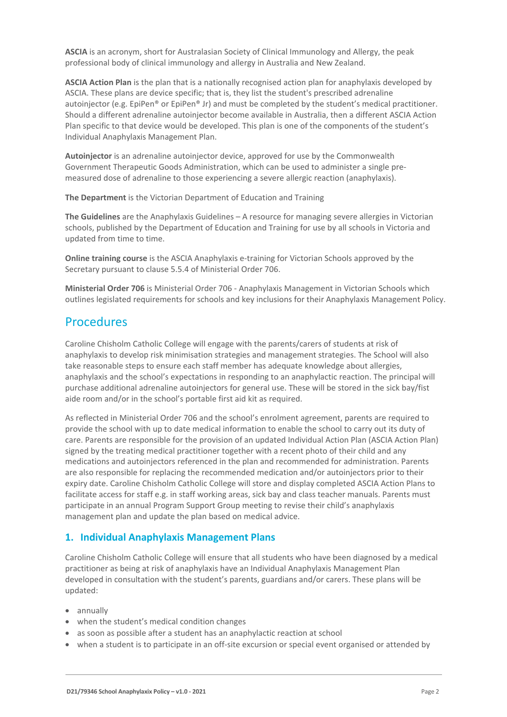**ASCIA** is an acronym, short for Australasian Society of Clinical Immunology and Allergy, the peak professional body of clinical immunology and allergy in Australia and New Zealand.

**ASCIA Action Plan** is the plan that is a nationally recognised action plan for anaphylaxis developed by ASCIA. These plans are device specific; that is, they list the student's prescribed adrenaline autoinjector (e.g. EpiPen® or EpiPen® Jr) and must be completed by the student's medical practitioner. Should a different adrenaline autoinjector become available in Australia, then a different ASCIA Action Plan specific to that device would be developed. This plan is one of the components of the student's Individual Anaphylaxis Management Plan.

**Autoinjector** is an adrenaline autoinjector device, approved for use by the Commonwealth Government Therapeutic Goods Administration, which can be used to administer a single premeasured dose of adrenaline to those experiencing a severe allergic reaction (anaphylaxis).

**The Department** is the Victorian Department of Education and Training

**The Guidelines** are the Anaphylaxis Guidelines – A resource for managing severe allergies in Victorian schools, published by the Department of Education and Training for use by all schools in Victoria and updated from time to time.

**Online training course** is the ASCIA Anaphylaxis e-training for Victorian Schools approved by the Secretary pursuant to clause 5.5.4 of Ministerial Order 706.

**Ministerial Order 706** is Ministerial Order 706 - Anaphylaxis Management in Victorian Schools which outlines legislated requirements for schools and key inclusions for their Anaphylaxis Management Policy.

# Procedures

Caroline Chisholm Catholic College will engage with the parents/carers of students at risk of anaphylaxis to develop risk minimisation strategies and management strategies. The School will also take reasonable steps to ensure each staff member has adequate knowledge about allergies, anaphylaxis and the school's expectations in responding to an anaphylactic reaction. The principal will purchase additional adrenaline autoinjectors for general use. These will be stored in the sick bay/fist aide room and/or in the school's portable first aid kit as required.

As reflected in Ministerial Order 706 and the school's enrolment agreement, parents are required to provide the school with up to date medical information to enable the school to carry out its duty of care. Parents are responsible for the provision of an updated Individual Action Plan (ASCIA Action Plan) signed by the treating medical practitioner together with a recent photo of their child and any medications and autoinjectors referenced in the plan and recommended for administration. Parents are also responsible for replacing the recommended medication and/or autoinjectors prior to their expiry date. Caroline Chisholm Catholic College will store and display completed ASCIA Action Plans to facilitate access for staff e.g. in staff working areas, sick bay and class teacher manuals. Parents must participate in an annual Program Support Group meeting to revise their child's anaphylaxis management plan and update the plan based on medical advice.

# **1. Individual Anaphylaxis Management Plans**

Caroline Chisholm Catholic College will ensure that all students who have been diagnosed by a medical practitioner as being at risk of anaphylaxis have an Individual Anaphylaxis Management Plan developed in consultation with the student's parents, guardians and/or carers. These plans will be updated:

- annually
- when the student's medical condition changes
- as soon as possible after a student has an anaphylactic reaction at school
- when a student is to participate in an off-site excursion or special event organised or attended by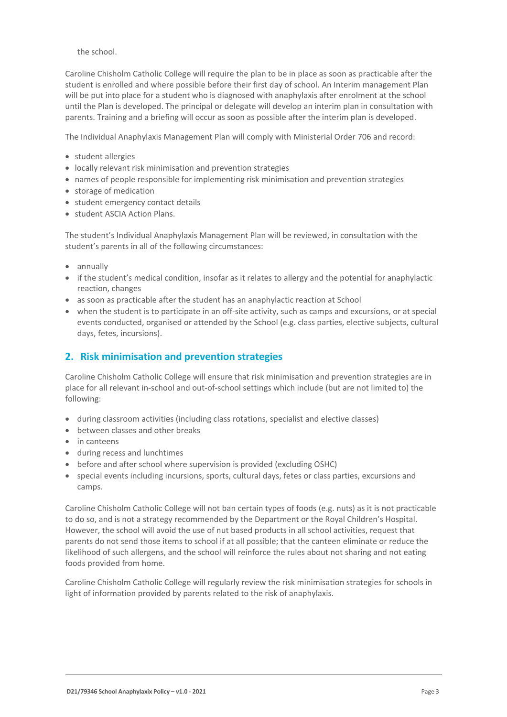the school.

Caroline Chisholm Catholic College will require the plan to be in place as soon as practicable after the student is enrolled and where possible before their first day of school. An Interim management Plan will be put into place for a student who is diagnosed with anaphylaxis after enrolment at the school until the Plan is developed. The principal or delegate will develop an interim plan in consultation with parents. Training and a briefing will occur as soon as possible after the interim plan is developed.

The Individual Anaphylaxis Management Plan will comply with Ministerial Order 706 and record:

- student allergies
- locally relevant risk minimisation and prevention strategies
- names of people responsible for implementing risk minimisation and prevention strategies
- storage of medication
- student emergency contact details
- student ASCIA Action Plans.

The student's Individual Anaphylaxis Management Plan will be reviewed, in consultation with the student's parents in all of the following circumstances:

- annually
- if the student's medical condition, insofar as it relates to allergy and the potential for anaphylactic reaction, changes
- as soon as practicable after the student has an anaphylactic reaction at School
- when the student is to participate in an off-site activity, such as camps and excursions, or at special events conducted, organised or attended by the School (e.g. class parties, elective subjects, cultural days, fetes, incursions).

### **2. Risk minimisation and prevention strategies**

Caroline Chisholm Catholic College will ensure that risk minimisation and prevention strategies are in place for all relevant in-school and out-of-school settings which include (but are not limited to) the following:

- during classroom activities (including class rotations, specialist and elective classes)
- between classes and other breaks
- in canteens
- during recess and lunchtimes
- before and after school where supervision is provided (excluding OSHC)
- special events including incursions, sports, cultural days, fetes or class parties, excursions and camps.

Caroline Chisholm Catholic College will not ban certain types of foods (e.g. nuts) as it is not practicable to do so, and is not a strategy recommended by the Department or the Royal Children's Hospital. However, the school will avoid the use of nut based products in all school activities, request that parents do not send those items to school if at all possible; that the canteen eliminate or reduce the likelihood of such allergens, and the school will reinforce the rules about not sharing and not eating foods provided from home.

Caroline Chisholm Catholic College will regularly review the risk minimisation strategies for schools in light of information provided by parents related to the risk of anaphylaxis.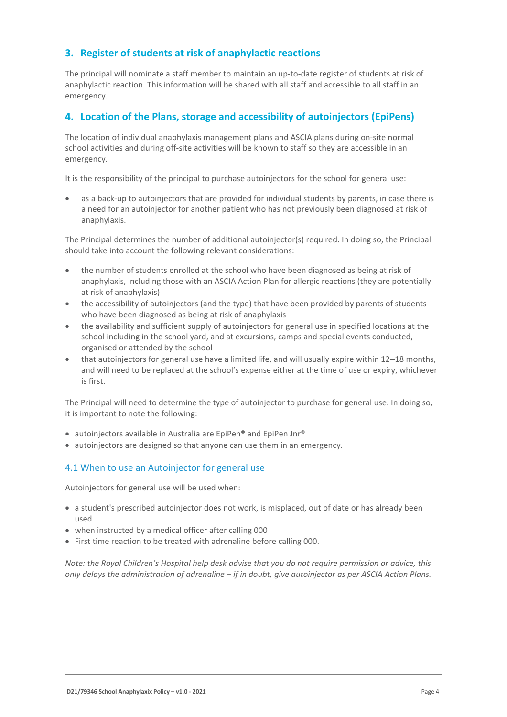# **3. Register of students at risk of anaphylactic reactions**

The principal will nominate a staff member to maintain an up-to-date register of students at risk of anaphylactic reaction. This information will be shared with all staff and accessible to all staff in an emergency.

### **4. Location of the Plans, storage and accessibility of autoinjectors (EpiPens)**

The location of individual anaphylaxis management plans and ASCIA plans during on-site normal school activities and during off-site activities will be known to staff so they are accessible in an emergency.

It is the responsibility of the principal to purchase autoinjectors for the school for general use:

• as a back-up to autoinjectors that are provided for individual students by parents, in case there is a need for an autoinjector for another patient who has not previously been diagnosed at risk of anaphylaxis.

The Principal determines the number of additional autoinjector(s) required. In doing so, the Principal should take into account the following relevant considerations:

- the number of students enrolled at the school who have been diagnosed as being at risk of anaphylaxis, including those with an ASCIA Action Plan for allergic reactions (they are potentially at risk of anaphylaxis)
- the accessibility of autoinjectors (and the type) that have been provided by parents of students who have been diagnosed as being at risk of anaphylaxis
- the availability and sufficient supply of autoinjectors for general use in specified locations at the school including in the school yard, and at excursions, camps and special events conducted, organised or attended by the school
- that autoinjectors for general use have a limited life, and will usually expire within 12–18 months, and will need to be replaced at the school's expense either at the time of use or expiry, whichever is first.

The Principal will need to determine the type of autoinjector to purchase for general use. In doing so, it is important to note the following:

- autoinjectors available in Australia are EpiPen® and EpiPen Jnr®
- autoinjectors are designed so that anyone can use them in an emergency.

#### 4.1 When to use an Autoinjector for general use

Autoinjectors for general use will be used when:

- a student's prescribed autoinjector does not work, is misplaced, out of date or has already been used
- when instructed by a medical officer after calling 000
- First time reaction to be treated with adrenaline before calling 000.

*Note: the Royal Children's Hospital help desk advise that you do not require permission or advice, this only delays the administration of adrenaline – if in doubt, give autoinjector as per ASCIA Action Plans.*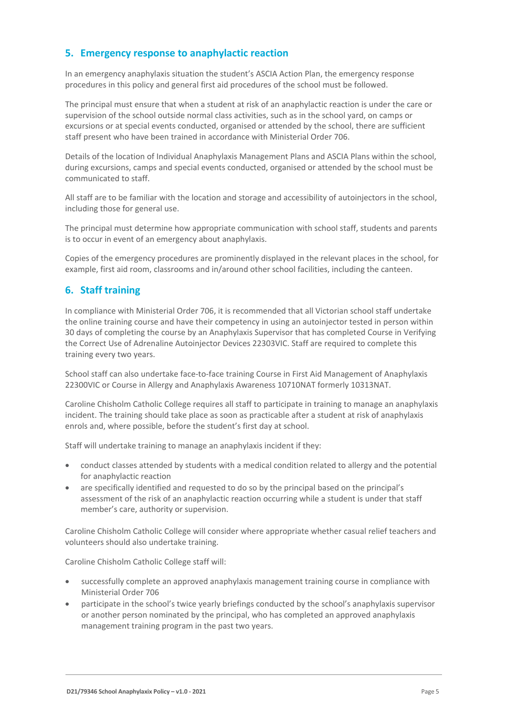# **5. Emergency response to anaphylactic reaction**

In an emergency anaphylaxis situation the student's ASCIA Action Plan, the emergency response procedures in this policy and general first aid procedures of the school must be followed.

The principal must ensure that when a student at risk of an anaphylactic reaction is under the care or supervision of the school outside normal class activities, such as in the school yard, on camps or excursions or at special events conducted, organised or attended by the school, there are sufficient staff present who have been trained in accordance with Ministerial Order 706.

Details of the location of Individual Anaphylaxis Management Plans and ASCIA Plans within the school, during excursions, camps and special events conducted, organised or attended by the school must be communicated to staff.

All staff are to be familiar with the location and storage and accessibility of autoinjectors in the school, including those for general use.

The principal must determine how appropriate communication with school staff, students and parents is to occur in event of an emergency about anaphylaxis.

Copies of the emergency procedures are prominently displayed in the relevant places in the school, for example, first aid room, classrooms and in/around other school facilities, including the canteen.

# **6. Staff training**

In compliance with Ministerial Order 706, it is recommended that all Victorian school staff undertake the online training course and have their competency in using an autoinjector tested in person within 30 days of completing the course by an Anaphylaxis Supervisor that has completed Course in Verifying the Correct Use of Adrenaline Autoinjector Devices 22303VIC. Staff are required to complete this training every two years.

School staff can also undertake face-to-face training Course in First Aid Management of Anaphylaxis 22300VIC or Course in Allergy and Anaphylaxis Awareness 10710NAT formerly 10313NAT.

Caroline Chisholm Catholic College requires all staff to participate in training to manage an anaphylaxis incident. The training should take place as soon as practicable after a student at risk of anaphylaxis enrols and, where possible, before the student's first day at school.

Staff will undertake training to manage an anaphylaxis incident if they:

- conduct classes attended by students with a medical condition related to allergy and the potential for anaphylactic reaction
- are specifically identified and requested to do so by the principal based on the principal's assessment of the risk of an anaphylactic reaction occurring while a student is under that staff member's care, authority or supervision.

Caroline Chisholm Catholic College will consider where appropriate whether casual relief teachers and volunteers should also undertake training.

Caroline Chisholm Catholic College staff will:

- successfully complete an approved anaphylaxis management training course in compliance with Ministerial Order 706
- participate in the school's twice yearly briefings conducted by the school's anaphylaxis supervisor or another person nominated by the principal, who has completed an approved anaphylaxis management training program in the past two years.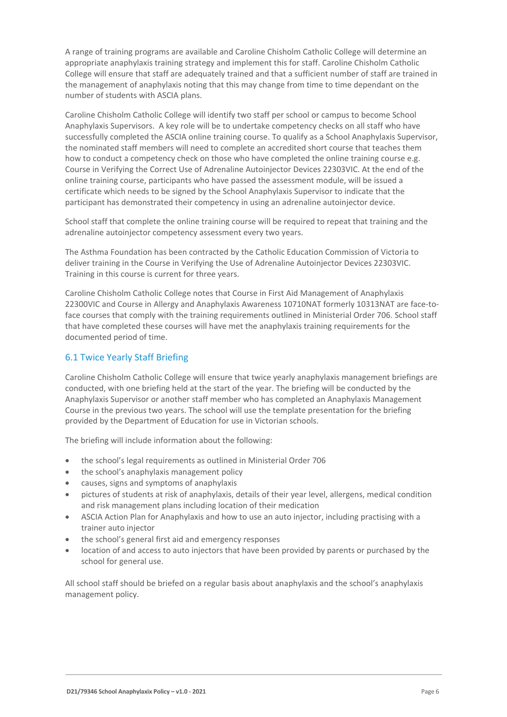A range of training programs are available and Caroline Chisholm Catholic College will determine an appropriate anaphylaxis training strategy and implement this for staff. Caroline Chisholm Catholic College will ensure that staff are adequately trained and that a sufficient number of staff are trained in the management of anaphylaxis noting that this may change from time to time dependant on the number of students with ASCIA plans.

Caroline Chisholm Catholic College will identify two staff per school or campus to become School Anaphylaxis Supervisors. A key role will be to undertake competency checks on all staff who have successfully completed the ASCIA online training course. To qualify as a School Anaphylaxis Supervisor, the nominated staff members will need to complete an accredited short course that teaches them how to conduct a competency check on those who have completed the online training course e.g. Course in Verifying the Correct Use of Adrenaline Autoinjector Devices 22303VIC. At the end of the online training course, participants who have passed the assessment module, will be issued a certificate which needs to be signed by the School Anaphylaxis Supervisor to indicate that the participant has demonstrated their competency in using an adrenaline autoinjector device.

School staff that complete the online training course will be required to repeat that training and the adrenaline autoinjector competency assessment every two years.

The Asthma Foundation has been contracted by the Catholic Education Commission of Victoria to deliver training in the Course in Verifying the Use of Adrenaline Autoinjector Devices 22303VIC. Training in this course is current for three years.

Caroline Chisholm Catholic College notes that Course in First Aid Management of Anaphylaxis 22300VIC and Course in Allergy and Anaphylaxis Awareness 10710NAT formerly 10313NAT are face-toface courses that comply with the training requirements outlined in Ministerial Order 706. School staff that have completed these courses will have met the anaphylaxis training requirements for the documented period of time.

#### 6.1 Twice Yearly Staff Briefing

Caroline Chisholm Catholic College will ensure that twice yearly anaphylaxis management briefings are conducted, with one briefing held at the start of the year. The briefing will be conducted by the Anaphylaxis Supervisor or another staff member who has completed an Anaphylaxis Management Course in the previous two years. The school will use the template presentation for the briefing provided by the Department of Education for use in Victorian schools.

The briefing will include information about the following:

- the school's legal requirements as outlined in Ministerial Order 706
- the school's anaphylaxis management policy
- causes, signs and symptoms of anaphylaxis
- pictures of students at risk of anaphylaxis, details of their year level, allergens, medical condition and risk management plans including location of their medication
- ASCIA Action Plan for Anaphylaxis and how to use an auto injector, including practising with a trainer auto injector
- the school's general first aid and emergency responses
- location of and access to auto injectors that have been provided by parents or purchased by the school for general use.

All school staff should be briefed on a regular basis about anaphylaxis and the school's anaphylaxis management policy.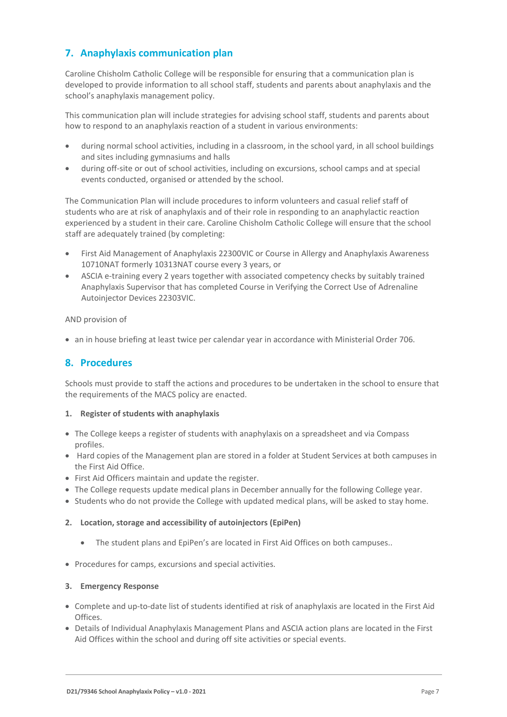# **7. Anaphylaxis communication plan**

Caroline Chisholm Catholic College will be responsible for ensuring that a communication plan is developed to provide information to all school staff, students and parents about anaphylaxis and the school's anaphylaxis management policy.

This communication plan will include strategies for advising school staff, students and parents about how to respond to an anaphylaxis reaction of a student in various environments:

- during normal school activities, including in a classroom, in the school yard, in all school buildings and sites including gymnasiums and halls
- during off-site or out of school activities, including on excursions, school camps and at special events conducted, organised or attended by the school.

The Communication Plan will include procedures to inform volunteers and casual relief staff of students who are at risk of anaphylaxis and of their role in responding to an anaphylactic reaction experienced by a student in their care. Caroline Chisholm Catholic College will ensure that the school staff are adequately trained (by completing:

- First Aid Management of Anaphylaxis 22300VIC or Course in Allergy and Anaphylaxis Awareness 10710NAT formerly 10313NAT course every 3 years, or
- ASCIA e-training every 2 years together with associated competency checks by suitably trained Anaphylaxis Supervisor that has completed Course in Verifying the Correct Use of Adrenaline Autoinjector Devices 22303VIC.

AND provision of

• an in house briefing at least twice per calendar year in accordance with Ministerial Order 706.

### **8. Procedures**

Schools must provide to staff the actions and procedures to be undertaken in the school to ensure that the requirements of the MACS policy are enacted.

#### **1. Register of students with anaphylaxis**

- The College keeps a register of students with anaphylaxis on a spreadsheet and via Compass profiles.
- Hard copies of the Management plan are stored in a folder at Student Services at both campuses in the First Aid Office.
- First Aid Officers maintain and update the register.
- The College requests update medical plans in December annually for the following College year.
- Students who do not provide the College with updated medical plans, will be asked to stay home.

#### **2. Location, storage and accessibility of autoinjectors (EpiPen)**

- The student plans and EpiPen's are located in First Aid Offices on both campuses..
- Procedures for camps, excursions and special activities.

#### **3. Emergency Response**

- Complete and up-to-date list of students identified at risk of anaphylaxis are located in the First Aid Offices.
- Details of Individual Anaphylaxis Management Plans and ASCIA action plans are located in the First Aid Offices within the school and during off site activities or special events.